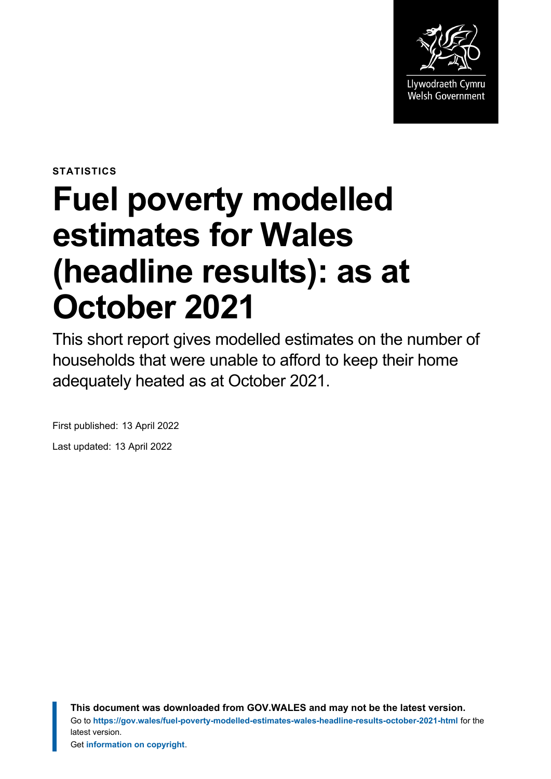

**STATISTICS**

# **Fuel poverty modelled estimates for Wales (headline results): as at October 2021**

This short report gives modelled estimates on the number of households that were unable to afford to keep their home adequately heated as at October 2021.

First published: 13 April 2022 Last updated: 13 April 2022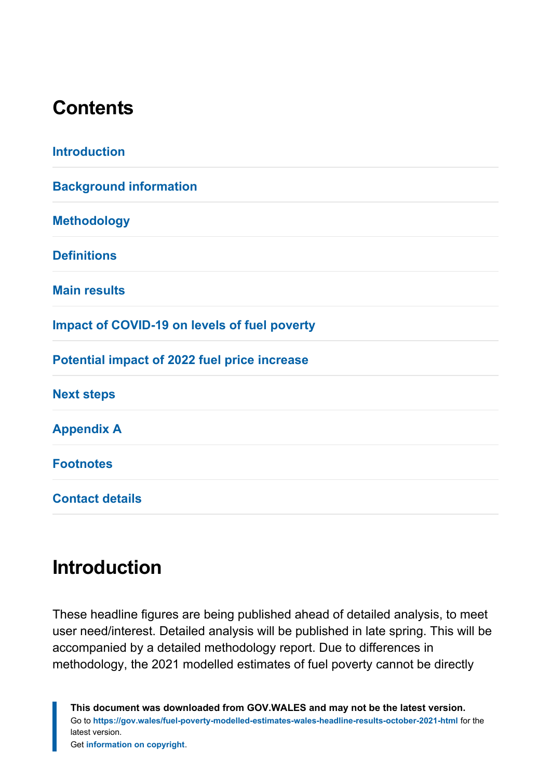## **Contents**

| <b>Introduction</b>                                 |
|-----------------------------------------------------|
| <b>Background information</b>                       |
| <b>Methodology</b>                                  |
| <b>Definitions</b>                                  |
| <b>Main results</b>                                 |
| <b>Impact of COVID-19 on levels of fuel poverty</b> |
| Potential impact of 2022 fuel price increase        |
| <b>Next steps</b>                                   |
| <b>Appendix A</b>                                   |
| <b>Footnotes</b>                                    |
| <b>Contact details</b>                              |

## <span id="page-1-0"></span>**Introduction**

These headline figures are being published ahead of detailed analysis, to meet user need/interest. Detailed analysis will be published in late spring. This will be accompanied by a detailed methodology report. Due to differences in methodology, the 2021 modelled estimates of fuel poverty cannot be directly

**This document was downloaded from GOV.WALES and may not be the latest version.** Go to **<https://gov.wales/fuel-poverty-modelled-estimates-wales-headline-results-october-2021-html>** for the latest version. Get **[information on copyright](https://gov.wales/copyright-statement)**.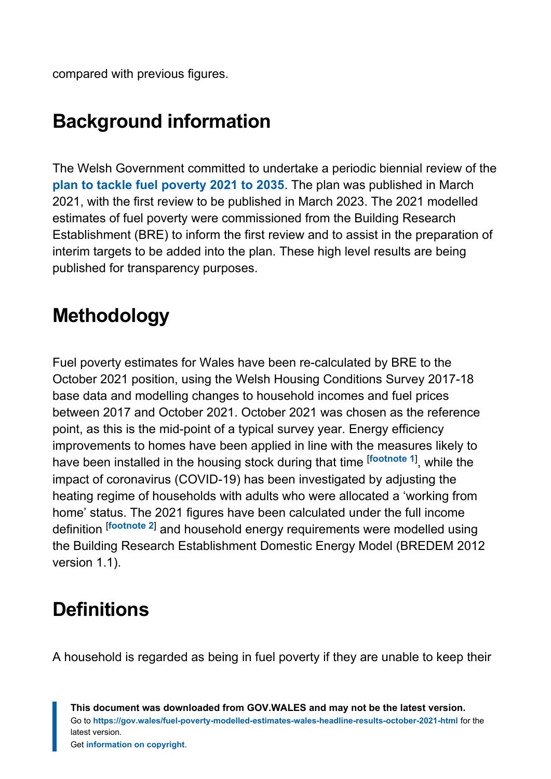compared with previous figures.

# <span id="page-2-0"></span>**Background information**

The Welsh Government committed to undertake a periodic biennial review of the **[plan to tackle fuel poverty 2021 to 2035](https://gov.wales/tackling-fuel-poverty-2021-2035)**. The plan was published in March 2021, with the first review to be published in March 2023. The 2021 modelled estimates of fuel poverty were commissioned from the Building Research Establishment (BRE) to inform the first review and to assist in the preparation of interim targets to be added into the plan. These high level results are being published for transparency purposes.

## <span id="page-2-1"></span>**Methodology**

<span id="page-2-3"></span>Fuel poverty estimates for Wales have been re-calculated by BRE to the October 2021 position, using the Welsh Housing Conditions Survey 2017-18 base data and modelling changes to household incomes and fuel prices between 2017 and October 2021. October 2021 was chosen as the reference point, as this is the mid-point of a typical survey year. Energy efficiency improvements to homes have been applied in line with the measures likely to have been installed in the housing stock during that time [**[footnote](#page-10-1) <sup>1</sup>**] , while the impact of coronavirus (COVID-19) has been investigated by adjusting the heating regime of households with adults who were allocated a 'working from home' status. The 2021 figures have been calculated under the full income definition [**[footnote](#page-10-2) <sup>2</sup>**] and household energy requirements were modelled using the Building Research Establishment Domestic Energy Model (BREDEM 2012 version 1.1).

# <span id="page-2-4"></span><span id="page-2-2"></span>**Definitions**

A household is regarded as being in fuel poverty if they are unable to keep their

**This document was downloaded from GOV.WALES and may not be the latest version.** Go to **<https://gov.wales/fuel-poverty-modelled-estimates-wales-headline-results-october-2021-html>** for the latest version. Get **[information on copyright](https://gov.wales/copyright-statement)**.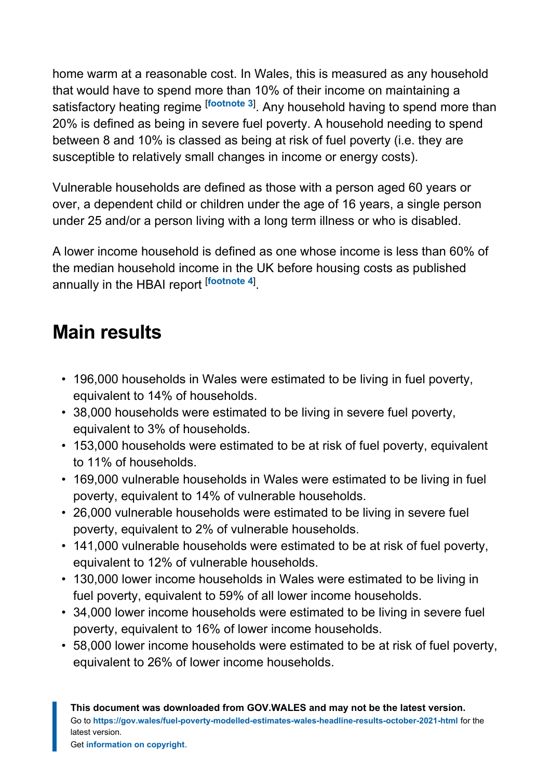<span id="page-3-1"></span>home warm at a reasonable cost. In Wales, this is measured as any household that would have to spend more than 10% of their income on maintaining a satisfactory heating regime [**[footnote](#page-10-3) <sup>3</sup>**] . Any household having to spend more than 20% is defined as being in severe fuel poverty. A household needing to spend between 8 and 10% is classed as being at risk of fuel poverty (i.e. they are susceptible to relatively small changes in income or energy costs).

Vulnerable households are defined as those with a person aged 60 years or over, a dependent child or children under the age of 16 years, a single person under 25 and/or a person living with a long term illness or who is disabled.

<span id="page-3-2"></span>A lower income household is defined as one whose income is less than 60% of the median household income in the UK before housing costs as published annually in the HBAI report [**[footnote](#page-10-4) <sup>4</sup>**] .

## <span id="page-3-0"></span>**Main results**

- 196,000 households in Wales were estimated to be living in fuel poverty, equivalent to 14% of households.
- 38,000 households were estimated to be living in severe fuel poverty, equivalent to 3% of households.
- 153,000 households were estimated to be at risk of fuel poverty, equivalent to 11% of households.
- 169,000 vulnerable households in Wales were estimated to be living in fuel poverty, equivalent to 14% of vulnerable households.
- 26,000 vulnerable households were estimated to be living in severe fuel poverty, equivalent to 2% of vulnerable households.
- 141,000 vulnerable households were estimated to be at risk of fuel poverty, equivalent to 12% of vulnerable households.
- 130,000 lower income households in Wales were estimated to be living in fuel poverty, equivalent to 59% of all lower income households.
- 34,000 lower income households were estimated to be living in severe fuel poverty, equivalent to 16% of lower income households.
- 58,000 lower income households were estimated to be at risk of fuel poverty, equivalent to 26% of lower income households.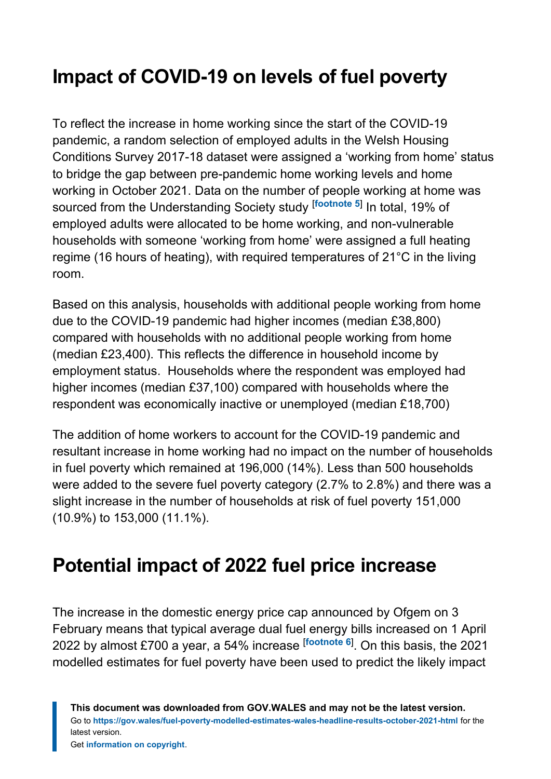# <span id="page-4-0"></span>**Impact of COVID-19 on levels of fuel poverty**

<span id="page-4-2"></span>To reflect the increase in home working since the start of the COVID-19 pandemic, a random selection of employed adults in the Welsh Housing Conditions Survey 2017-18 dataset were assigned a 'working from home' status to bridge the gap between pre-pandemic home working levels and home working in October 2021. Data on the number of people working at home was sourced from the Understanding Society study [**[footnote](#page-10-5) <sup>5</sup>**] In total, 19% of employed adults were allocated to be home working, and non-vulnerable households with someone 'working from home' were assigned a full heating regime (16 hours of heating), with required temperatures of 21°C in the living room.

Based on this analysis, households with additional people working from home due to the COVID-19 pandemic had higher incomes (median £38,800) compared with households with no additional people working from home (median £23,400). This reflects the difference in household income by employment status. Households where the respondent was employed had higher incomes (median £37,100) compared with households where the respondent was economically inactive or unemployed (median £18,700)

The addition of home workers to account for the COVID-19 pandemic and resultant increase in home working had no impact on the number of households in fuel poverty which remained at 196,000 (14%). Less than 500 households were added to the severe fuel poverty category (2.7% to 2.8%) and there was a slight increase in the number of households at risk of fuel poverty 151,000 (10.9%) to 153,000 (11.1%).

# <span id="page-4-1"></span>**Potential impact of 2022 fuel price increase**

<span id="page-4-3"></span>The increase in the domestic energy price cap announced by Ofgem on 3 February means that typical average dual fuel energy bills increased on 1 April 2022 by almost £700 a year, a 54% increase [**[footnote](#page-10-6) <sup>6</sup>**] . On this basis, the 2021 modelled estimates for fuel poverty have been used to predict the likely impact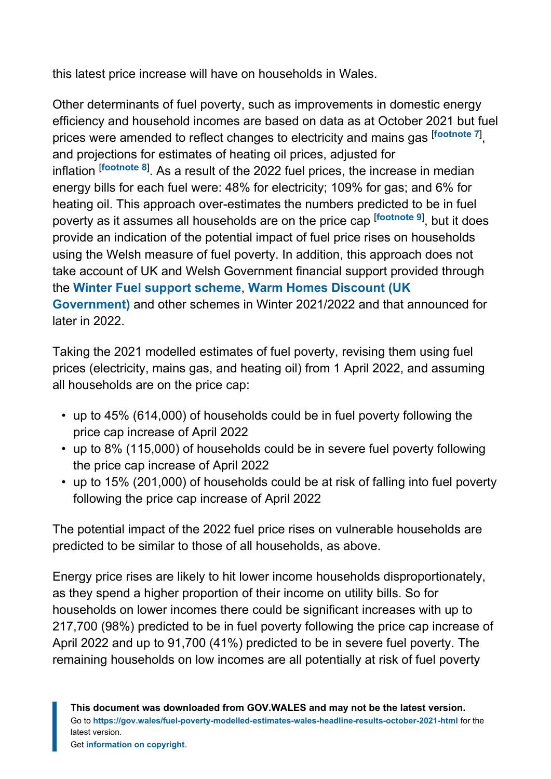this latest price increase will have on households in Wales.

<span id="page-5-2"></span><span id="page-5-1"></span><span id="page-5-0"></span>Other determinants of fuel poverty, such as improvements in domestic energy efficiency and household incomes are based on data as at October 2021 but fuel prices were amended to reflect changes to electricity and mains gas [**[footnote](#page-10-7) <sup>7</sup>**] , and projections for estimates of heating oil prices, adjusted for inflation [**[footnote](#page-10-8) <sup>8</sup>**] . As a result of the 2022 fuel prices, the increase in median energy bills for each fuel were: 48% for electricity; 109% for gas; and 6% for heating oil. This approach over-estimates the numbers predicted to be in fuel poverty as it assumes all households are on the price cap [**[footnote](#page-10-9) <sup>9</sup>**] , but it does provide an indication of the potential impact of fuel price rises on households using the Welsh measure of fuel poverty. In addition, this approach does not take account of UK and Welsh Government financial support provided through the **[Winter Fuel support scheme](https://gov.wales/winter-fuel-support-scheme)**, **[Warm Homes Discount \(UK](https://www.gov.uk/the-warm-home-discount-scheme) [Government\)](https://www.gov.uk/the-warm-home-discount-scheme)** and other schemes in Winter 2021/2022 and that announced for later in 2022.

Taking the 2021 modelled estimates of fuel poverty, revising them using fuel prices (electricity, mains gas, and heating oil) from 1 April 2022, and assuming all households are on the price cap:

- up to 45% (614,000) of households could be in fuel poverty following the price cap increase of April 2022
- up to 8% (115,000) of households could be in severe fuel poverty following the price cap increase of April 2022
- up to 15% (201,000) of households could be at risk of falling into fuel poverty following the price cap increase of April 2022

The potential impact of the 2022 fuel price rises on vulnerable households are predicted to be similar to those of all households, as above.

Energy price rises are likely to hit lower income households disproportionately, as they spend a higher proportion of their income on utility bills. So for households on lower incomes there could be significant increases with up to 217,700 (98%) predicted to be in fuel poverty following the price cap increase of April 2022 and up to 91,700 (41%) predicted to be in severe fuel poverty. The remaining households on low incomes are all potentially at risk of fuel poverty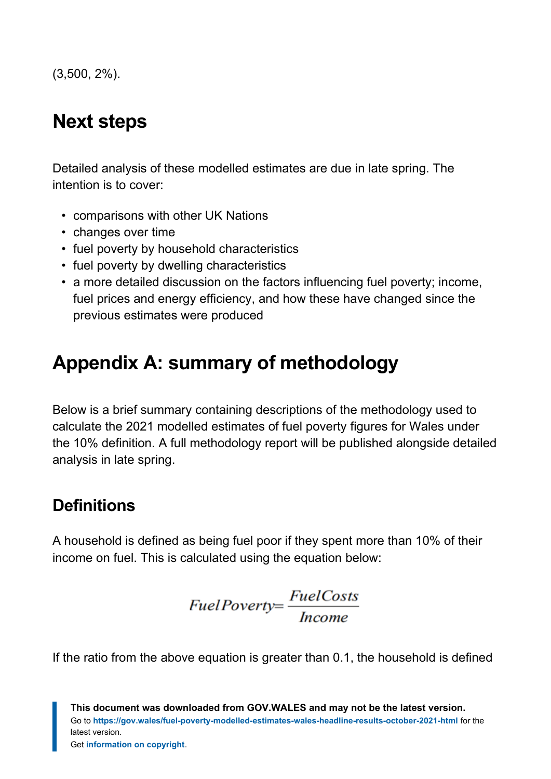(3,500, 2%).

# <span id="page-6-0"></span>**Next steps**

Detailed analysis of these modelled estimates are due in late spring. The intention is to cover:

- comparisons with other UK Nations
- changes over time
- fuel poverty by household characteristics
- fuel poverty by dwelling characteristics
- a more detailed discussion on the factors influencing fuel poverty; income, fuel prices and energy efficiency, and how these have changed since the previous estimates were produced

## <span id="page-6-1"></span>**Appendix A: summary of methodology**

Below is a brief summary containing descriptions of the methodology used to calculate the 2021 modelled estimates of fuel poverty figures for Wales under the 10% definition. A full methodology report will be published alongside detailed analysis in late spring.

## **Definitions**

A household is defined as being fuel poor if they spent more than 10% of their income on fuel. This is calculated using the equation below:

$$
FullPowerty = \frac{FieldCosts}{Income}
$$

If the ratio from the above equation is greater than 0.1, the household is defined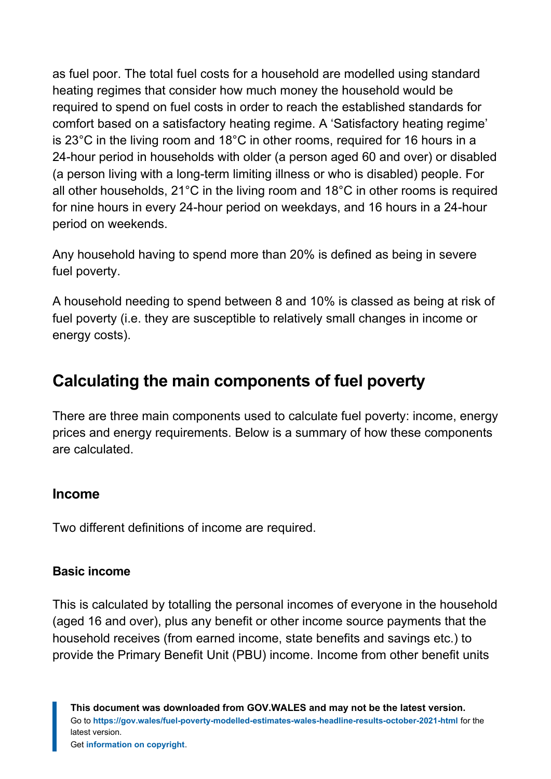as fuel poor. The total fuel costs for a household are modelled using standard heating regimes that consider how much money the household would be required to spend on fuel costs in order to reach the established standards for comfort based on a satisfactory heating regime. A 'Satisfactory heating regime' is 23°C in the living room and 18°C in other rooms, required for 16 hours in a 24-hour period in households with older (a person aged 60 and over) or disabled (a person living with a long-term limiting illness or who is disabled) people. For all other households, 21°C in the living room and 18°C in other rooms is required for nine hours in every 24-hour period on weekdays, and 16 hours in a 24-hour period on weekends.

Any household having to spend more than 20% is defined as being in severe fuel poverty.

A household needing to spend between 8 and 10% is classed as being at risk of fuel poverty (i.e. they are susceptible to relatively small changes in income or energy costs).

## **Calculating the main components of fuel poverty**

There are three main components used to calculate fuel poverty: income, energy prices and energy requirements. Below is a summary of how these components are calculated.

#### **Income**

Two different definitions of income are required.

#### **Basic income**

This is calculated by totalling the personal incomes of everyone in the household (aged 16 and over), plus any benefit or other income source payments that the household receives (from earned income, state benefits and savings etc.) to provide the Primary Benefit Unit (PBU) income. Income from other benefit units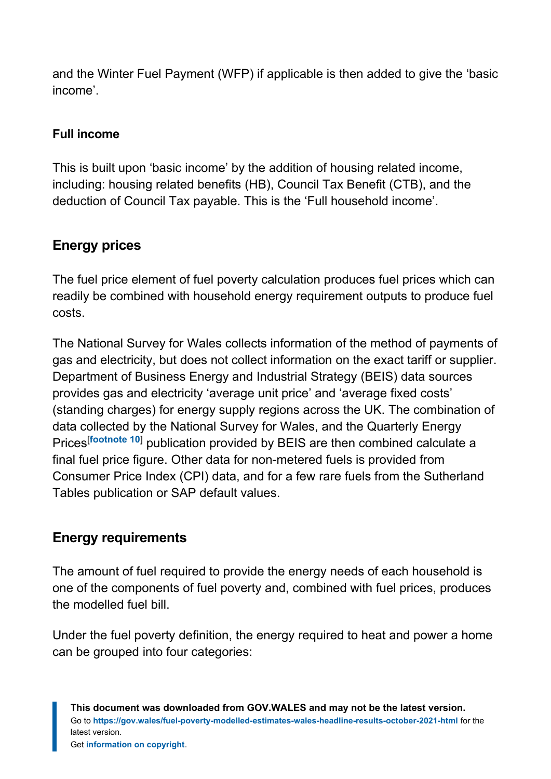and the Winter Fuel Payment (WFP) if applicable is then added to give the 'basic income'.

## **Full income**

This is built upon 'basic income' by the addition of housing related income, including: housing related benefits (HB), Council Tax Benefit (CTB), and the deduction of Council Tax payable. This is the 'Full household income'.

## **Energy prices**

The fuel price element of fuel poverty calculation produces fuel prices which can readily be combined with household energy requirement outputs to produce fuel costs.

The National Survey for Wales collects information of the method of payments of gas and electricity, but does not collect information on the exact tariff or supplier. Department of Business Energy and Industrial Strategy (BEIS) data sources provides gas and electricity 'average unit price' and 'average fixed costs' (standing charges) for energy supply regions across the UK. The combination of data collected by the National Survey for Wales, and the Quarterly Energy Prices[**[footnote 10](#page-11-1)**] publication provided by BEIS are then combined calculate a final fuel price figure. Other data for non-metered fuels is provided from Consumer Price Index (CPI) data, and for a few rare fuels from the Sutherland Tables publication or SAP default values.

## <span id="page-8-0"></span>**Energy requirements**

The amount of fuel required to provide the energy needs of each household is one of the components of fuel poverty and, combined with fuel prices, produces the modelled fuel bill.

Under the fuel poverty definition, the energy required to heat and power a home can be grouped into four categories: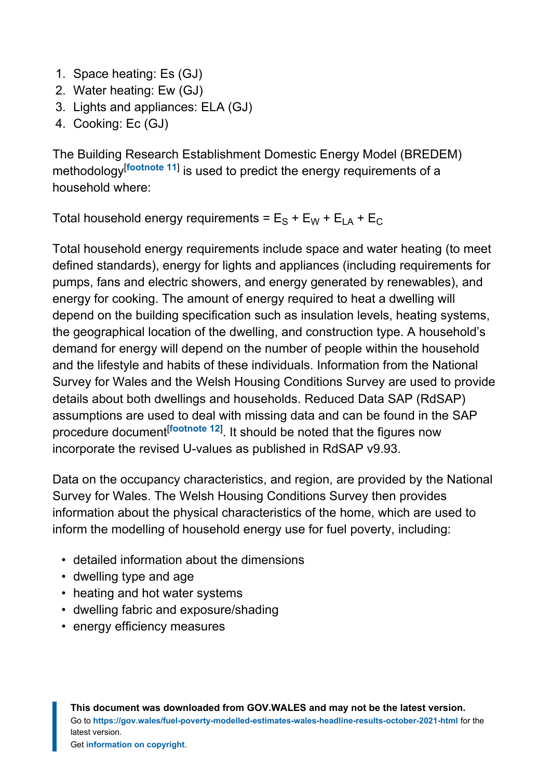- 1. Space heating: Es (GJ)
- 2. Water heating: Ew (GJ)
- 3. Lights and appliances: ELA (GJ)
- 4. Cooking: Ec (GJ)

<span id="page-9-0"></span>The Building Research Establishment Domestic Energy Model (BREDEM) methodology[**[footnote 11](#page-11-2)**] is used to predict the energy requirements of a household where:

Total household energy requirements =  $E_S + E_W + E_{LA} + E_C$ 

Total household energy requirements include space and water heating (to meet defined standards), energy for lights and appliances (including requirements for pumps, fans and electric showers, and energy generated by renewables), and energy for cooking. The amount of energy required to heat a dwelling will depend on the building specification such as insulation levels, heating systems, the geographical location of the dwelling, and construction type. A household's demand for energy will depend on the number of people within the household and the lifestyle and habits of these individuals. Information from the National Survey for Wales and the Welsh Housing Conditions Survey are used to provide details about both dwellings and households. Reduced Data SAP (RdSAP) assumptions are used to deal with missing data and can be found in the SAP procedure document<sup>[[footnote 12](#page-11-3)]</sup>. It should be noted that the figures now incorporate the revised U-values as published in RdSAP v9.93.

<span id="page-9-1"></span>Data on the occupancy characteristics, and region, are provided by the National Survey for Wales. The Welsh Housing Conditions Survey then provides information about the physical characteristics of the home, which are used to inform the modelling of household energy use for fuel poverty, including:

- detailed information about the dimensions
- dwelling type and age
- heating and hot water systems
- dwelling fabric and exposure/shading
- energy efficiency measures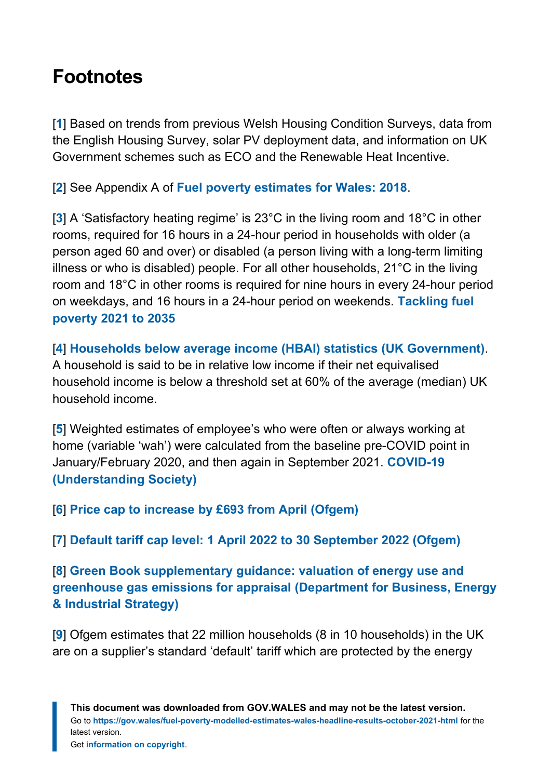## <span id="page-10-0"></span>**Footnotes**

<span id="page-10-1"></span>[**[1](#page-2-3)**] Based on trends from previous Welsh Housing Condition Surveys, data from the English Housing Survey, solar PV deployment data, and information on UK Government schemes such as ECO and the Renewable Heat Incentive.

<span id="page-10-2"></span>[**[2](#page-2-4)**] See Appendix A of **[Fuel poverty estimates for Wales: 2018](https://gov.wales/fuel-poverty-estimates-wales-2018)**.

<span id="page-10-3"></span>[**[3](#page-3-1)**] A 'Satisfactory heating regime' is 23°C in the living room and 18°C in other rooms, required for 16 hours in a 24-hour period in households with older (a person aged 60 and over) or disabled (a person living with a long-term limiting illness or who is disabled) people. For all other households, 21°C in the living room and 18°C in other rooms is required for nine hours in every 24-hour period on weekdays, and 16 hours in a 24-hour period on weekends. **[Tackling fuel](https://gov.wales/tackling-fuel-poverty-2021-2035) [poverty 2021 to 2035](https://gov.wales/tackling-fuel-poverty-2021-2035)**

<span id="page-10-4"></span>[**[4](#page-3-2)**] **[Households below average income \(HBAI\) statistics \(UK Government\)](https://www.gov.uk/government/collections/households-below-average-income-hbai--2)**. A household is said to be in relative low income if their net equivalised household income is below a threshold set at 60% of the average (median) UK household income.

<span id="page-10-5"></span>[**[5](#page-4-2)**] Weighted estimates of employee's who were often or always working at home (variable 'wah') were calculated from the baseline pre-COVID point in January/February 2020, and then again in September 2021. **[COVID-19](https://www.understandingsociety.ac.uk/topic/covid-19) [\(Understanding Society\)](https://www.understandingsociety.ac.uk/topic/covid-19)**

<span id="page-10-6"></span>[**[6](#page-4-3)**] **[Price cap to increase by £693 from April \(Ofgem\)](https://www.ofgem.gov.uk/publications/price-cap-increase-ps693-april)**

<span id="page-10-7"></span>[**[7](#page-5-0)**] **[Default tariff cap level: 1 April 2022 to 30 September 2022 \(Ofgem\)](https://www.ofgem.gov.uk/publications/default-tariff-cap-level-1-april-2022-30-september-2022)**

<span id="page-10-8"></span>[**[8](#page-5-1)**] **[Green Book supplementary guidance: valuation of energy use and](https://www.gov.uk/government/publications/valuation-of-energy-use-and-greenhouse-gas-emissions-for-appraisal) [greenhouse gas emissions for appraisal \(Department for Business, Energy](https://www.gov.uk/government/publications/valuation-of-energy-use-and-greenhouse-gas-emissions-for-appraisal) [& Industrial Strategy\)](https://www.gov.uk/government/publications/valuation-of-energy-use-and-greenhouse-gas-emissions-for-appraisal)**

<span id="page-10-9"></span>[**[9](#page-5-2)**] Ofgem estimates that 22 million households (8 in 10 households) in the UK are on a supplier's standard 'default' tariff which are protected by the energy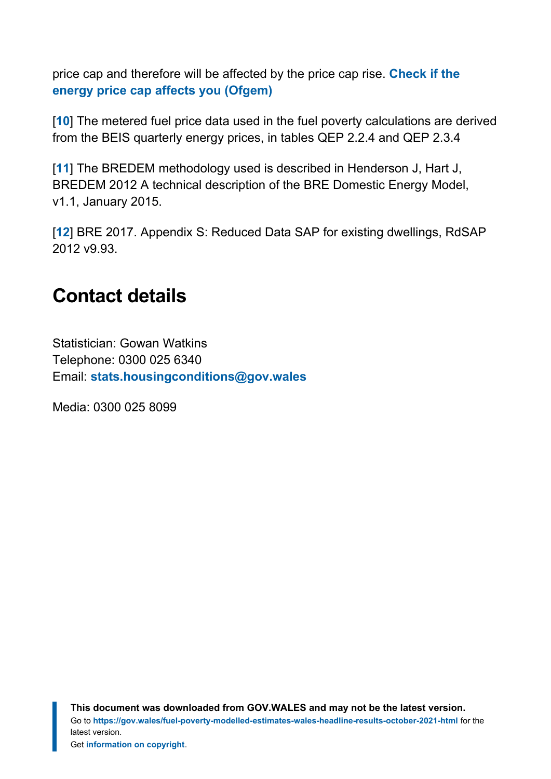price cap and therefore will be affected by the price cap rise. **[Check if the](https://www.ofgem.gov.uk/information-consumers/energy-advice-households/check-if-energy-price-cap-affects-you) [energy price cap affects you \(Ofgem\)](https://www.ofgem.gov.uk/information-consumers/energy-advice-households/check-if-energy-price-cap-affects-you)**

<span id="page-11-1"></span>[**[10](#page-8-0)**] The metered fuel price data used in the fuel poverty calculations are derived from the BEIS quarterly energy prices, in tables QEP 2.2.4 and QEP 2.3.4

<span id="page-11-2"></span>[**[11](#page-9-0)**] The BREDEM methodology used is described in Henderson J, Hart J, BREDEM 2012 A technical description of the BRE Domestic Energy Model, v1.1, January 2015.

<span id="page-11-3"></span>[**[12](#page-9-1)**] BRE 2017. Appendix S: Reduced Data SAP for existing dwellings, RdSAP 2012 v9.93.

## <span id="page-11-0"></span>**Contact details**

Statistician: Gowan Watkins Telephone: 0300 025 6340 Email: **[stats.housingconditions@gov.wales](mailto:stats.housingconditions@gov.wales)**

Media: 0300 025 8099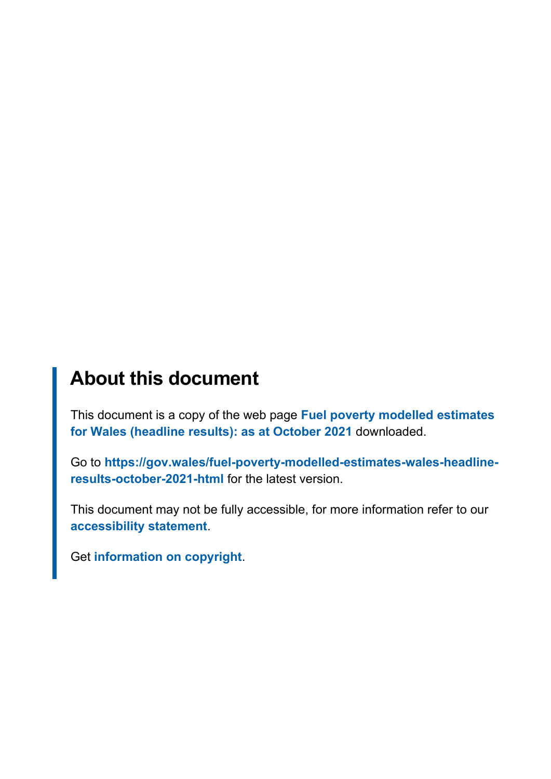## **About this document**

This document is a copy of the web page **[Fuel poverty modelled estimates](https://gov.wales/fuel-poverty-modelled-estimates-wales-headline-results-october-2021-html) [for Wales \(headline results\): as at October 2021](https://gov.wales/fuel-poverty-modelled-estimates-wales-headline-results-october-2021-html)** downloaded.

Go to **[https://gov.wales/fuel-poverty-modelled-estimates-wales-headline](https://gov.wales/fuel-poverty-modelled-estimates-wales-headline-results-october-2021-html)[results-october-2021-html](https://gov.wales/fuel-poverty-modelled-estimates-wales-headline-results-october-2021-html)** for the latest version.

This document may not be fully accessible, for more information refer to our **[accessibility statement](https://gov.wales/accessibility-statement-govwales)**.

Get **[information on copyright](https://gov.wales/copyright-statement)**.